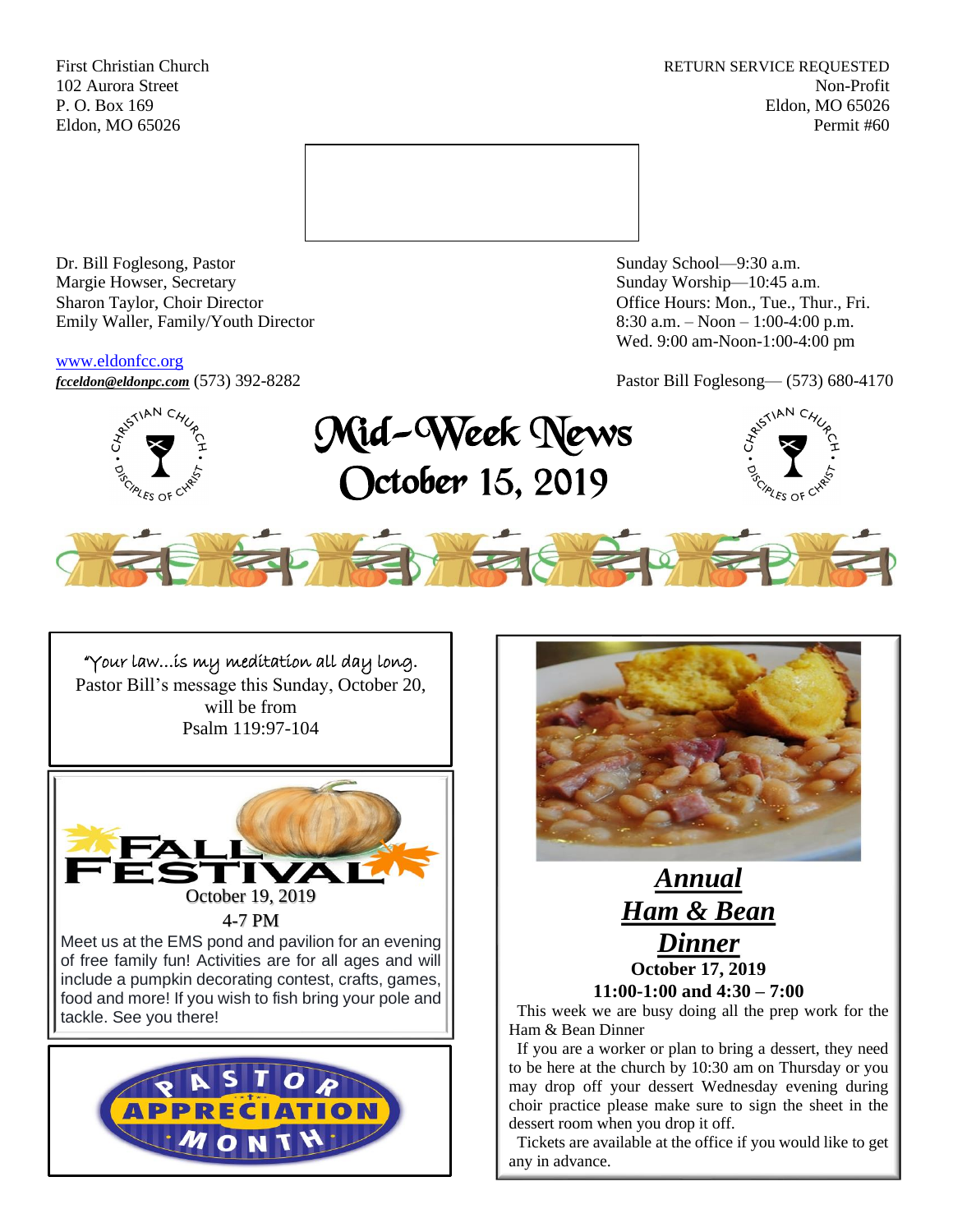First Christian Church **RETURN SERVICE REQUESTED** 102 Aurora Street Non-Profit P. O. Box 169 Eldon, MO 65026 Eldon, MO 65026 Permit #60



Dr. Bill Foglesong, Pastor Sunday School—9:30 a.m. Margie Howser, Secretary Sunday Worship—10:45 a.m. Sharon Taylor, Choir Director **Channel Controllering Controllering Controllering Controllering Controllering Controllering Controllering Controllering Controllering Controllering Controllering Controllering Controllering C** Emily Waller, Family/Youth Director 8:30 a.m. – Noon – 1:00-4:00 p.m.

[www.eldonfcc.org](http://www.eldonfcc.org/)

Wed. 9:00 am-Noon-1:00-4:00 pm

*[fcceldon@eldonpc.com](mailto:fcceldon@eldonpc.com)* (573) 392-8282 Pastor Bill Foglesong— (573) 680-4170



Mid-Week News October 15, 2019





i

"Your law…is my meditation all day long. Pastor Bill's message this Sunday, October 20, will be from Psalm 119:97-104







 This week we are busy doing all the prep work for the Ham & Bean Dinner

 If you are a worker or plan to bring a dessert, they need to be here at the church by 10:30 am on Thursday or you may drop off your dessert Wednesday evening during choir practice please make sure to sign the sheet in the dessert room when you drop it off.

 Tickets are available at the office if you would like to get any in advance.